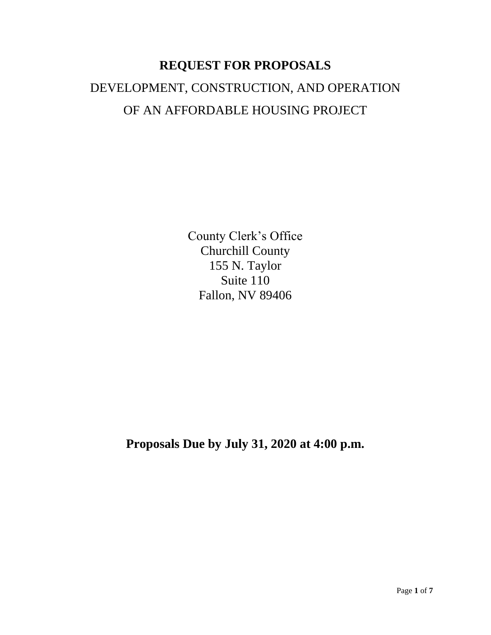# **REQUEST FOR PROPOSALS** DEVELOPMENT, CONSTRUCTION, AND OPERATION OF AN AFFORDABLE HOUSING PROJECT

County Clerk's Office Churchill County 155 N. Taylor Suite 110 Fallon, NV 89406

**Proposals Due by July 31, 2020 at 4:00 p.m.**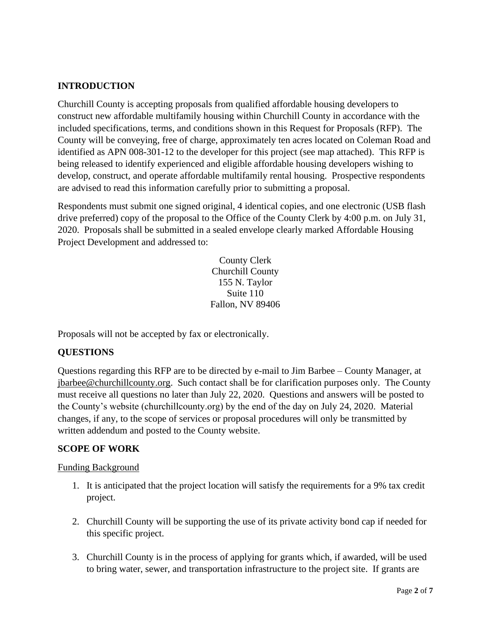# **INTRODUCTION**

Churchill County is accepting proposals from qualified affordable housing developers to construct new affordable multifamily housing within Churchill County in accordance with the included specifications, terms, and conditions shown in this Request for Proposals (RFP). The County will be conveying, free of charge, approximately ten acres located on Coleman Road and identified as APN 008-301-12 to the developer for this project (see map attached). This RFP is being released to identify experienced and eligible affordable housing developers wishing to develop, construct, and operate affordable multifamily rental housing. Prospective respondents are advised to read this information carefully prior to submitting a proposal.

Respondents must submit one signed original, 4 identical copies, and one electronic (USB flash drive preferred) copy of the proposal to the Office of the County Clerk by 4:00 p.m. on July 31, 2020. Proposals shall be submitted in a sealed envelope clearly marked Affordable Housing Project Development and addressed to:

> County Clerk Churchill County 155 N. Taylor Suite 110 Fallon, NV 89406

Proposals will not be accepted by fax or electronically.

# **QUESTIONS**

Questions regarding this RFP are to be directed by e-mail to Jim Barbee – County Manager, at [jbarbee@churchillcounty.org.](mailto:jbarbee@churchillcounty.org) Such contact shall be for clarification purposes only. The County must receive all questions no later than July 22, 2020. Questions and answers will be posted to the County's website (churchillcounty.org) by the end of the day on July 24, 2020. Material changes, if any, to the scope of services or proposal procedures will only be transmitted by written addendum and posted to the County website.

#### **SCOPE OF WORK**

#### Funding Background

- 1. It is anticipated that the project location will satisfy the requirements for a 9% tax credit project.
- 2. Churchill County will be supporting the use of its private activity bond cap if needed for this specific project.
- 3. Churchill County is in the process of applying for grants which, if awarded, will be used to bring water, sewer, and transportation infrastructure to the project site. If grants are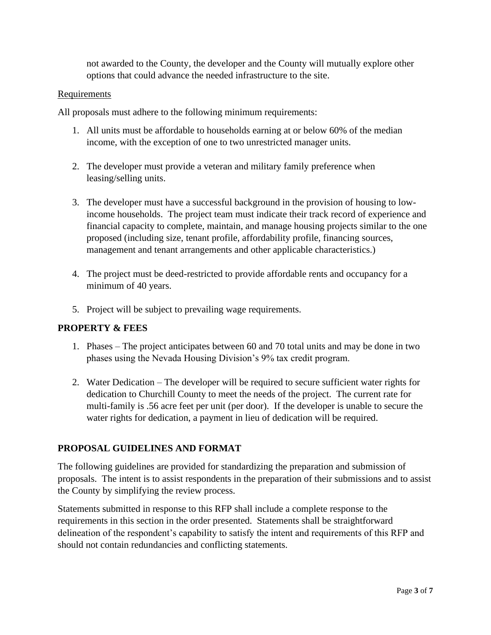not awarded to the County, the developer and the County will mutually explore other options that could advance the needed infrastructure to the site.

#### Requirements

All proposals must adhere to the following minimum requirements:

- 1. All units must be affordable to households earning at or below 60% of the median income, with the exception of one to two unrestricted manager units.
- 2. The developer must provide a veteran and military family preference when leasing/selling units.
- 3. The developer must have a successful background in the provision of housing to lowincome households. The project team must indicate their track record of experience and financial capacity to complete, maintain, and manage housing projects similar to the one proposed (including size, tenant profile, affordability profile, financing sources, management and tenant arrangements and other applicable characteristics.)
- 4. The project must be deed-restricted to provide affordable rents and occupancy for a minimum of 40 years.
- 5. Project will be subject to prevailing wage requirements.

# **PROPERTY & FEES**

- 1. Phases The project anticipates between 60 and 70 total units and may be done in two phases using the Nevada Housing Division's 9% tax credit program.
- 2. Water Dedication The developer will be required to secure sufficient water rights for dedication to Churchill County to meet the needs of the project. The current rate for multi-family is .56 acre feet per unit (per door). If the developer is unable to secure the water rights for dedication, a payment in lieu of dedication will be required.

# **PROPOSAL GUIDELINES AND FORMAT**

The following guidelines are provided for standardizing the preparation and submission of proposals. The intent is to assist respondents in the preparation of their submissions and to assist the County by simplifying the review process.

Statements submitted in response to this RFP shall include a complete response to the requirements in this section in the order presented. Statements shall be straightforward delineation of the respondent's capability to satisfy the intent and requirements of this RFP and should not contain redundancies and conflicting statements.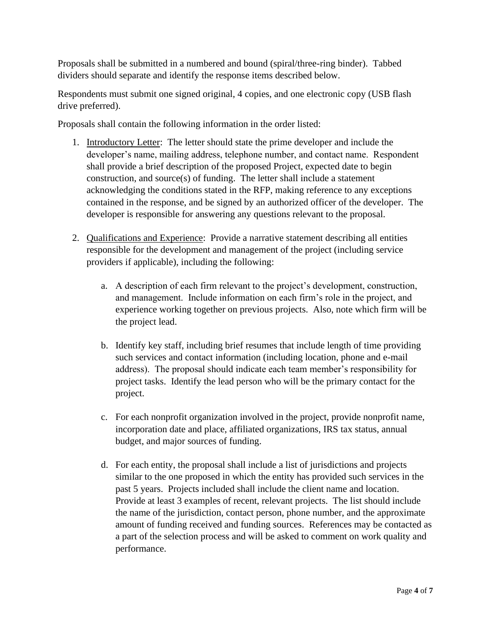Proposals shall be submitted in a numbered and bound (spiral/three-ring binder). Tabbed dividers should separate and identify the response items described below.

Respondents must submit one signed original, 4 copies, and one electronic copy (USB flash drive preferred).

Proposals shall contain the following information in the order listed:

- 1. Introductory Letter: The letter should state the prime developer and include the developer's name, mailing address, telephone number, and contact name. Respondent shall provide a brief description of the proposed Project, expected date to begin construction, and source(s) of funding. The letter shall include a statement acknowledging the conditions stated in the RFP, making reference to any exceptions contained in the response, and be signed by an authorized officer of the developer. The developer is responsible for answering any questions relevant to the proposal.
- 2. Qualifications and Experience: Provide a narrative statement describing all entities responsible for the development and management of the project (including service providers if applicable), including the following:
	- a. A description of each firm relevant to the project's development, construction, and management. Include information on each firm's role in the project, and experience working together on previous projects. Also, note which firm will be the project lead.
	- b. Identify key staff, including brief resumes that include length of time providing such services and contact information (including location, phone and e-mail address). The proposal should indicate each team member's responsibility for project tasks. Identify the lead person who will be the primary contact for the project.
	- c. For each nonprofit organization involved in the project, provide nonprofit name, incorporation date and place, affiliated organizations, IRS tax status, annual budget, and major sources of funding.
	- d. For each entity, the proposal shall include a list of jurisdictions and projects similar to the one proposed in which the entity has provided such services in the past 5 years. Projects included shall include the client name and location. Provide at least 3 examples of recent, relevant projects. The list should include the name of the jurisdiction, contact person, phone number, and the approximate amount of funding received and funding sources. References may be contacted as a part of the selection process and will be asked to comment on work quality and performance.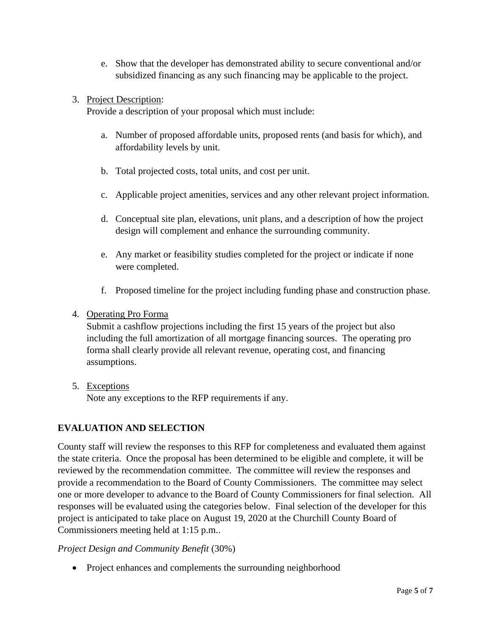- e. Show that the developer has demonstrated ability to secure conventional and/or subsidized financing as any such financing may be applicable to the project.
- 3. Project Description:

Provide a description of your proposal which must include:

- a. Number of proposed affordable units, proposed rents (and basis for which), and affordability levels by unit.
- b. Total projected costs, total units, and cost per unit.
- c. Applicable project amenities, services and any other relevant project information.
- d. Conceptual site plan, elevations, unit plans, and a description of how the project design will complement and enhance the surrounding community.
- e. Any market or feasibility studies completed for the project or indicate if none were completed.
- f. Proposed timeline for the project including funding phase and construction phase.

#### 4. Operating Pro Forma

Submit a cashflow projections including the first 15 years of the project but also including the full amortization of all mortgage financing sources. The operating pro forma shall clearly provide all relevant revenue, operating cost, and financing assumptions.

5. Exceptions Note any exceptions to the RFP requirements if any.

# **EVALUATION AND SELECTION**

County staff will review the responses to this RFP for completeness and evaluated them against the state criteria. Once the proposal has been determined to be eligible and complete, it will be reviewed by the recommendation committee. The committee will review the responses and provide a recommendation to the Board of County Commissioners. The committee may select one or more developer to advance to the Board of County Commissioners for final selection. All responses will be evaluated using the categories below. Final selection of the developer for this project is anticipated to take place on August 19, 2020 at the Churchill County Board of Commissioners meeting held at 1:15 p.m..

#### *Project Design and Community Benefit* (30%)

• Project enhances and complements the surrounding neighborhood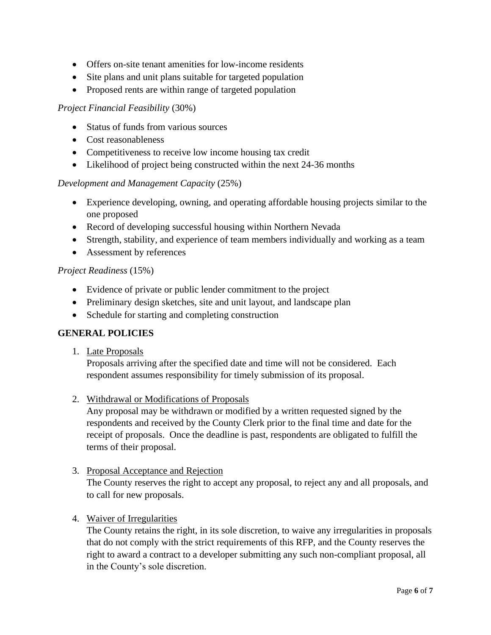- Offers on-site tenant amenities for low-income residents
- Site plans and unit plans suitable for targeted population
- Proposed rents are within range of targeted population

#### *Project Financial Feasibility* (30%)

- Status of funds from various sources
- Cost reasonableness
- Competitiveness to receive low income housing tax credit
- Likelihood of project being constructed within the next 24-36 months

# *Development and Management Capacity* (25%)

- Experience developing, owning, and operating affordable housing projects similar to the one proposed
- Record of developing successful housing within Northern Nevada
- Strength, stability, and experience of team members individually and working as a team
- Assessment by references

#### *Project Readiness* (15%)

- Evidence of private or public lender commitment to the project
- Preliminary design sketches, site and unit layout, and landscape plan
- Schedule for starting and completing construction

# **GENERAL POLICIES**

1. Late Proposals

Proposals arriving after the specified date and time will not be considered. Each respondent assumes responsibility for timely submission of its proposal.

2. Withdrawal or Modifications of Proposals

Any proposal may be withdrawn or modified by a written requested signed by the respondents and received by the County Clerk prior to the final time and date for the receipt of proposals. Once the deadline is past, respondents are obligated to fulfill the terms of their proposal.

3. Proposal Acceptance and Rejection

The County reserves the right to accept any proposal, to reject any and all proposals, and to call for new proposals.

4. Waiver of Irregularities

The County retains the right, in its sole discretion, to waive any irregularities in proposals that do not comply with the strict requirements of this RFP, and the County reserves the right to award a contract to a developer submitting any such non-compliant proposal, all in the County's sole discretion.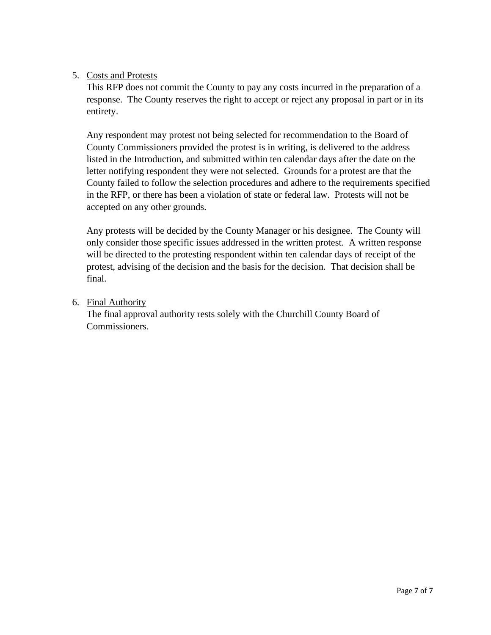# 5. Costs and Protests

This RFP does not commit the County to pay any costs incurred in the preparation of a response. The County reserves the right to accept or reject any proposal in part or in its entirety.

Any respondent may protest not being selected for recommendation to the Board of County Commissioners provided the protest is in writing, is delivered to the address listed in the Introduction, and submitted within ten calendar days after the date on the letter notifying respondent they were not selected. Grounds for a protest are that the County failed to follow the selection procedures and adhere to the requirements specified in the RFP, or there has been a violation of state or federal law. Protests will not be accepted on any other grounds.

Any protests will be decided by the County Manager or his designee. The County will only consider those specific issues addressed in the written protest. A written response will be directed to the protesting respondent within ten calendar days of receipt of the protest, advising of the decision and the basis for the decision. That decision shall be final.

6. Final Authority

The final approval authority rests solely with the Churchill County Board of Commissioners.